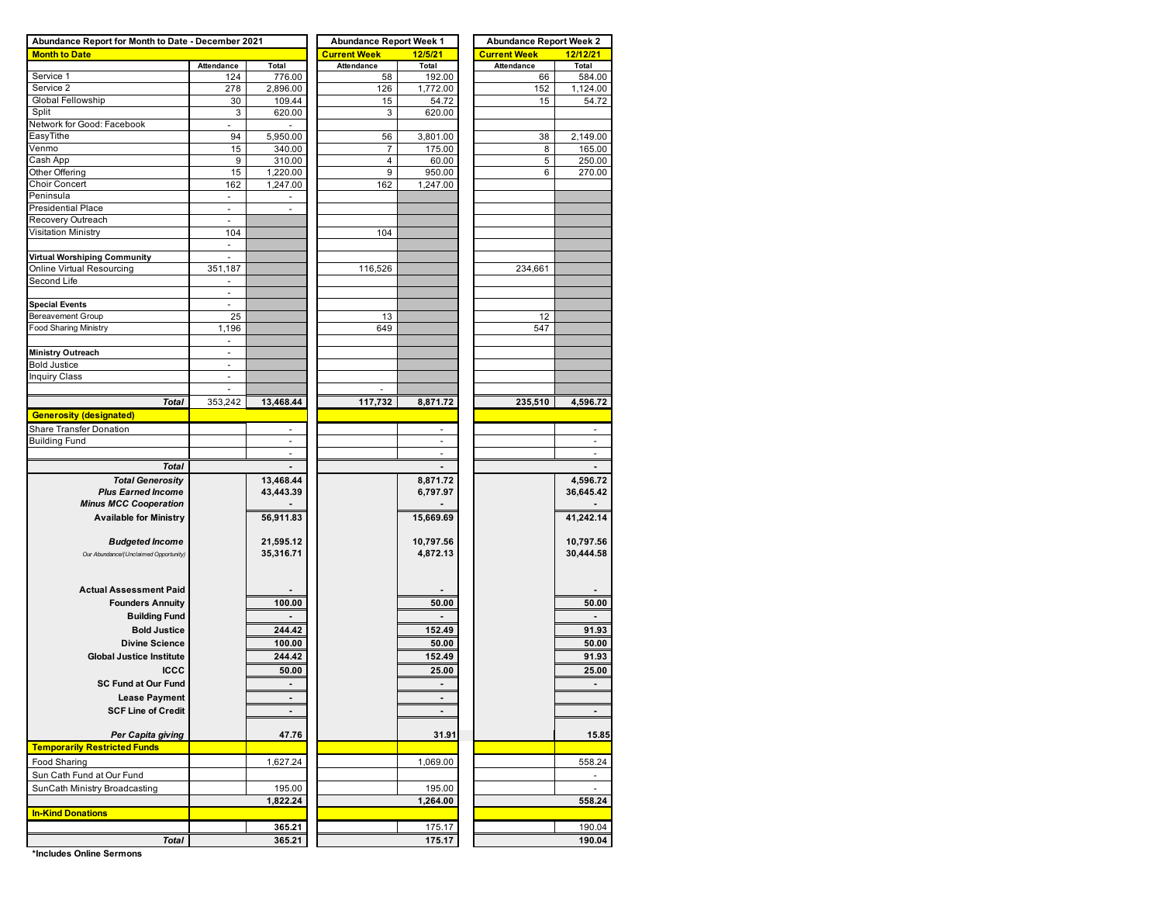| Abundance Report for Month to Date - December 2021 |                                |                | <b>Abundance Report Week 1</b> |           | <b>Abundance Report Week 2</b> |                |  |  |  |  |
|----------------------------------------------------|--------------------------------|----------------|--------------------------------|-----------|--------------------------------|----------------|--|--|--|--|
| <b>Month to Date</b>                               |                                |                | <b>Current Week</b>            | 12/5/21   | <b>Current Week</b>            | 12/12/21       |  |  |  |  |
|                                                    | Attendance                     | Total          | <b>Attendance</b>              | Total     | <b>Attendance</b>              | Total          |  |  |  |  |
| Service 1                                          | 124                            | 776.00         | 58                             | 192.00    | 66                             | 584.00         |  |  |  |  |
| Service 2                                          | 278                            | 2,896.00       | 126                            | 1,772.00  | 152                            | 1,124.00       |  |  |  |  |
| Global Fellowship                                  | 30                             | 109.44         | 15                             | 54.72     | 15                             | 54.72          |  |  |  |  |
| Split                                              | 3                              | 620.00         | 3                              | 620.00    |                                |                |  |  |  |  |
| Network for Good: Facebook                         |                                |                |                                |           |                                |                |  |  |  |  |
| EasyTithe                                          | 94                             | 5,950.00       | 56                             | 3,801.00  | 38                             | 2,149.00       |  |  |  |  |
| Venmo                                              | 15                             | 340.00         | 7                              | 175.00    | 8                              | 165.00         |  |  |  |  |
| Cash App                                           | 9                              | 310.00         | 4                              | 60.00     | 5                              | 250.00         |  |  |  |  |
| Other Offering                                     | 15                             | 1,220.00       | 9                              | 950.00    | 6                              | 270.00         |  |  |  |  |
| <b>Choir Concert</b>                               | 162                            | 1,247.00       | 162                            | 1,247.00  |                                |                |  |  |  |  |
| Peninsula                                          | $\blacksquare$                 | ٠              |                                |           |                                |                |  |  |  |  |
| <b>Presidential Place</b>                          | $\overline{\phantom{a}}$       |                |                                |           |                                |                |  |  |  |  |
| Recovery Outreach                                  |                                |                |                                |           |                                |                |  |  |  |  |
| <b>Visitation Ministry</b>                         | 104                            |                | 104                            |           |                                |                |  |  |  |  |
|                                                    | $\blacksquare$                 |                |                                |           |                                |                |  |  |  |  |
| Virtual Worshiping Community                       |                                |                |                                |           |                                |                |  |  |  |  |
| Online Virtual Resourcing                          | 351,187                        |                | 116,526                        |           | 234,661                        |                |  |  |  |  |
| Second Life                                        |                                |                |                                |           |                                |                |  |  |  |  |
|                                                    | $\overline{\phantom{a}}$       |                |                                |           |                                |                |  |  |  |  |
| <b>Special Events</b>                              |                                |                |                                |           |                                |                |  |  |  |  |
| Bereavement Group                                  | 25                             |                | 13                             |           | 12                             |                |  |  |  |  |
| <b>Food Sharing Ministry</b>                       | 1,196                          |                | 649                            |           | 547                            |                |  |  |  |  |
|                                                    |                                |                |                                |           |                                |                |  |  |  |  |
|                                                    | $\overline{a}$                 |                |                                |           |                                |                |  |  |  |  |
| <b>Ministry Outreach</b><br><b>Bold Justice</b>    | $\blacksquare$                 |                |                                |           |                                |                |  |  |  |  |
|                                                    |                                |                |                                |           |                                |                |  |  |  |  |
| <b>Inquiry Class</b>                               | $\overline{\phantom{a}}$<br>L. |                |                                |           |                                |                |  |  |  |  |
|                                                    |                                |                |                                |           |                                |                |  |  |  |  |
| <b>Total</b>                                       | 353,242                        | 13,468.44      | 117,732                        | 8,871.72  | 235,510                        | 4,596.72       |  |  |  |  |
| <b>Generosity (designated)</b>                     |                                |                |                                |           |                                |                |  |  |  |  |
| Share Transfer Donation                            |                                |                |                                |           |                                |                |  |  |  |  |
| <b>Building Fund</b>                               |                                | ÷              |                                |           |                                |                |  |  |  |  |
|                                                    |                                | $\blacksquare$ |                                | ÷         |                                | $\blacksquare$ |  |  |  |  |
| <b>Total</b>                                       |                                |                |                                |           |                                |                |  |  |  |  |
| <b>Total Generosity</b>                            |                                | 13,468.44      |                                | 8,871.72  |                                | 4,596.72       |  |  |  |  |
| <b>Plus Earned Income</b>                          |                                | 43,443.39      |                                | 6,797.97  |                                | 36,645.42      |  |  |  |  |
| <b>Minus MCC Cooperation</b>                       |                                |                |                                |           |                                |                |  |  |  |  |
| <b>Available for Ministry</b>                      |                                | 56,911.83      |                                | 15,669.69 |                                | 41,242.14      |  |  |  |  |
|                                                    |                                |                |                                |           |                                |                |  |  |  |  |
| <b>Budgeted Income</b>                             |                                | 21,595.12      |                                | 10,797.56 |                                | 10,797.56      |  |  |  |  |
| Our Abundance/(Unclaimed Opportunity)              |                                | 35,316.71      |                                | 4,872.13  |                                | 30,444.58      |  |  |  |  |
|                                                    |                                |                |                                |           |                                |                |  |  |  |  |
|                                                    |                                |                |                                |           |                                |                |  |  |  |  |
| <b>Actual Assessment Paid</b>                      |                                |                |                                |           |                                |                |  |  |  |  |
|                                                    |                                |                |                                |           |                                |                |  |  |  |  |
| <b>Founders Annuity</b>                            |                                | 100.00         |                                | 50.00     |                                | 50.00          |  |  |  |  |
| <b>Building Fund</b>                               |                                |                |                                |           |                                |                |  |  |  |  |
| <b>Bold Justice</b>                                |                                | 244.42         |                                | 152.49    |                                | 91.93          |  |  |  |  |
| <b>Divine Science</b>                              |                                | 100.00         |                                | 50.00     |                                | 50.00          |  |  |  |  |
| <b>Global Justice Institute</b>                    |                                | 244.42         |                                | 152.49    |                                | 91.93          |  |  |  |  |
| <b>ICCC</b>                                        |                                | 50.00          |                                | 25.00     |                                | 25.00          |  |  |  |  |
| <b>SC Fund at Our Fund</b>                         |                                |                |                                |           |                                |                |  |  |  |  |
|                                                    |                                |                |                                |           |                                |                |  |  |  |  |
| <b>Lease Payment</b>                               |                                |                |                                |           |                                |                |  |  |  |  |
| <b>SCF Line of Credit</b>                          |                                |                |                                |           |                                |                |  |  |  |  |
|                                                    |                                |                |                                |           |                                |                |  |  |  |  |
| Per Capita giving                                  |                                | 47.76          |                                | 31.91     |                                | 15.85          |  |  |  |  |
| <b>Temporarily Restricted Funds</b>                |                                |                |                                |           |                                |                |  |  |  |  |
| Food Sharing                                       |                                | 1,627.24       |                                | 1,069.00  |                                | 558.24         |  |  |  |  |
| Sun Cath Fund at Our Fund                          |                                |                |                                |           |                                |                |  |  |  |  |
| SunCath Ministry Broadcasting                      |                                | 195.00         |                                | 195.00    |                                |                |  |  |  |  |
|                                                    |                                | 1,822.24       |                                | 1,264.00  |                                | 558.24         |  |  |  |  |
| <b>In-Kind Donations</b>                           |                                |                |                                |           |                                |                |  |  |  |  |
|                                                    |                                |                |                                |           |                                |                |  |  |  |  |
|                                                    |                                | 365.21         |                                | 175.17    |                                | 190.04         |  |  |  |  |
| Total                                              |                                | 365.21         |                                | 175.17    |                                | 190.04         |  |  |  |  |

**\*Includes Online Sermons**